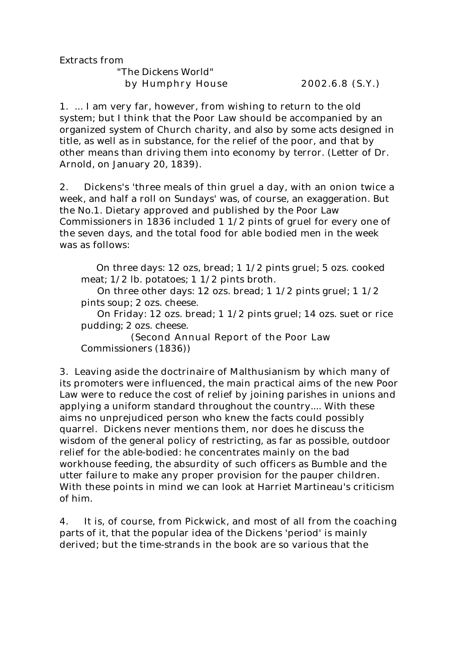Extracts from

 "The Dickens World" by Humphry House 2002.6.8 (S.Y.)

1. ... I am very far, however, from wishing to return to the old system; but I think that the Poor Law should be accompanied by an organized system of Church charity, and also by some acts designed in title, as well as in substance, for the relief of the poor, and that by other means than driving them into economy by terror. (Letter of Dr. Arnold, on January 20, 1839).

2. Dickens's 'three meals of thin gruel a day, with an onion twice a week, and half a roll on Sundays' was, of course, an exaggeration. But the No.1. Dietary approved and published by the Poor Law Commissioners in 1836 included 1 1/2 pints of gruel for every one of the seven days, and the total food for able bodied men in the week was as follows:

On three days: 12 ozs, bread; 1 1/2 pints gruel; 5 ozs. cooked meat; 1/2 lb. potatoes; 1 1/2 pints broth.

On three other days: 12 ozs. bread; 1 1/2 pints gruel; 1 1/2 pints soup; 2 ozs. cheese.

On Friday: 12 ozs. bread; 1 1/2 pints gruel; 14 ozs. suet or rice pudding; 2 ozs. cheese.

 (Second Annual Report of the Poor Law Commissioners (1836))

3. Leaving aside the doctrinaire of Malthusianism by which many of its promoters were influenced, the main practical aims of the new Poor Law were to reduce the cost of relief by joining parishes in unions and applying a uniform standard throughout the country.... With these aims no unprejudiced person who knew the facts could possibly quarrel. Dickens never mentions them, nor does he discuss the wisdom of the general policy of restricting, as far as possible, outdoor relief for the able-bodied: he concentrates mainly on the bad workhouse feeding, the absurdity of such officers as Bumble and the utter failure to make any proper provision for the pauper children. With these points in mind we can look at Harriet Martineau's criticism of him.

4. It is, of course, from Pickwick, and most of all from the coaching parts of it, that the popular idea of the Dickens 'period' is mainly derived; but the time-strands in the book are so various that the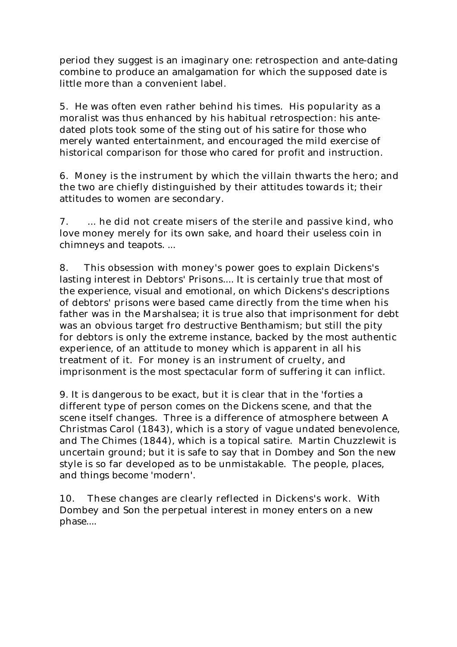period they suggest is an imaginary one: retrospection and ante-dating combine to produce an amalgamation for which the supposed date is little more than a convenient label.

5. He was often even rather behind his times. His popularity as a moralist was thus enhanced by his habitual retrospection: his antedated plots took some of the sting out of his satire for those who merely wanted entertainment, and encouraged the mild exercise of historical comparison for those who cared for profit and instruction.

6. Money is the instrument by which the villain thwarts the hero; and the two are chiefly distinguished by their attitudes towards it; their attitudes to women are secondary.

7. ... he did not create misers of the sterile and passive kind, who love money merely for its own sake, and hoard their useless coin in chimneys and teapots. ...

8. This obsession with money's power goes to explain Dickens's lasting interest in Debtors' Prisons.... It is certainly true that most of the experience, visual and emotional, on which Dickens's descriptions of debtors' prisons were based came directly from the time when his father was in the Marshalsea; it is true also that imprisonment for debt was an obvious target fro destructive Benthamism; but still the pity for debtors is only the extreme instance, backed by the most authentic experience, of an attitude to money which is apparent in all his treatment of it. For money is an instrument of cruelty, and imprisonment is the most spectacular form of suffering it can inflict.

9. It is dangerous to be exact, but it is clear that in the 'forties a different type of person comes on the Dickens scene, and that the scene itself changes. Three is a difference of atmosphere between A Christmas Carol (1843), which is a story of vague undated benevolence, and The Chimes (1844), which is a topical satire. Martin Chuzzlewit is uncertain ground; but it is safe to say that in Dombey and Son the new style is so far developed as to be unmistakable. The people, places, and things become 'modern'.

10. These changes are clearly reflected in Dickens's work. With Dombey and Son the perpetual interest in money enters on a new phase....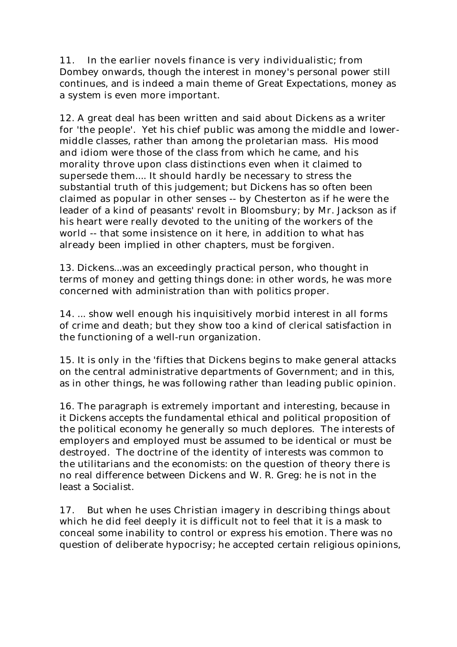11. In the earlier novels finance is very individualistic; from Dombey onwards, though the interest in money's personal power still continues, and is indeed a main theme of Great Expectations, money as a system is even more important.

12. A great deal has been written and said about Dickens as a writer for 'the people'. Yet his chief public was among the middle and lowermiddle classes, rather than among the proletarian mass. His mood and idiom were those of the class from which he came, and his morality throve upon class distinctions even when it claimed to supersede them.... It should hardly be necessary to stress the substantial truth of this judgement; but Dickens has so often been claimed as popular in other senses -- by Chesterton as if he were the leader of a kind of peasants' revolt in Bloomsbury; by Mr. Jackson as if his heart were really devoted to the uniting of the workers of the world -- that some insistence on it here, in addition to what has already been implied in other chapters, must be forgiven.

13. Dickens...was an exceedingly practical person, who thought in terms of money and getting things done: in other words, he was more concerned with administration than with politics proper.

14. ... show well enough his inquisitively morbid interest in all forms of crime and death; but they show too a kind of clerical satisfaction in the functioning of a well-run organization.

15. It is only in the 'fifties that Dickens begins to make general attacks on the central administrative departments of Government; and in this, as in other things, he was following rather than leading public opinion.

16. The paragraph is extremely important and interesting, because in it Dickens accepts the fundamental ethical and political proposition of the political economy he generally so much deplores. The interests of employers and employed must be assumed to be identical or must be destroyed. The doctrine of the identity of interests was common to the utilitarians and the economists: on the question of theory there is no real difference between Dickens and W. R. Greg: he is not in the least a Socialist.

17. But when he uses Christian imagery in describing things about which he did feel deeply it is difficult not to feel that it is a mask to conceal some inability to control or express his emotion. There was no question of deliberate hypocrisy; he accepted certain religious opinions,